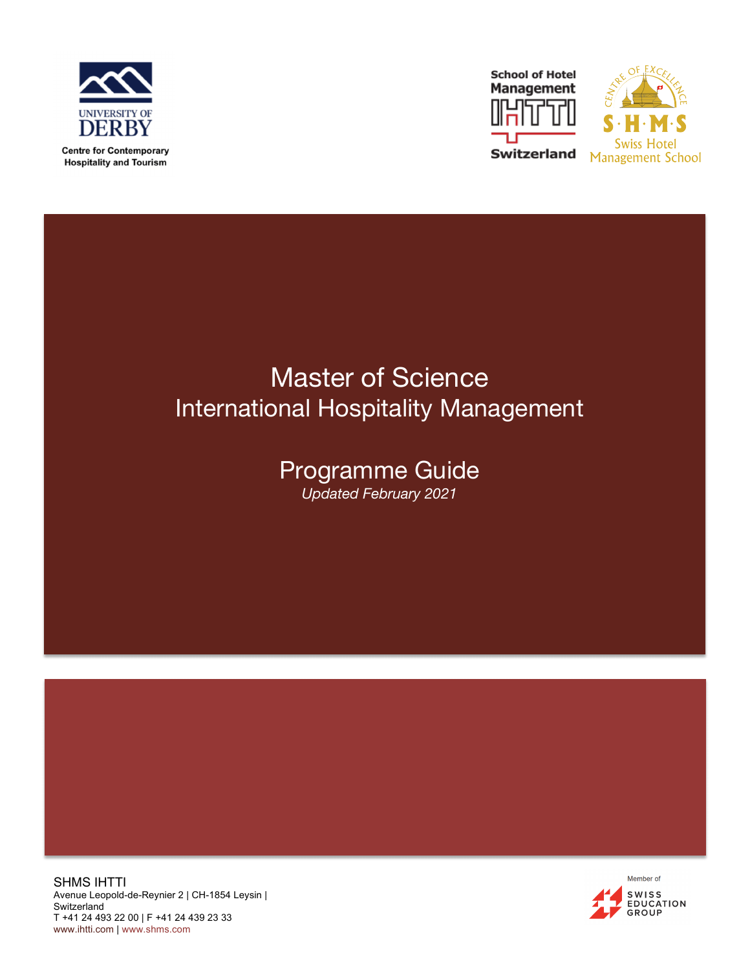





# Master of Science International Hospitality Management

# Programme Guide *Updated February 2021*

SHMS IHTTI Avenue Leopold-de-Reynier 2 | CH-1854 Leysin | **Switzerland** T +41 24 493 22 00 | F +41 24 439 23 33 www.ihtti.com | www.shms.com

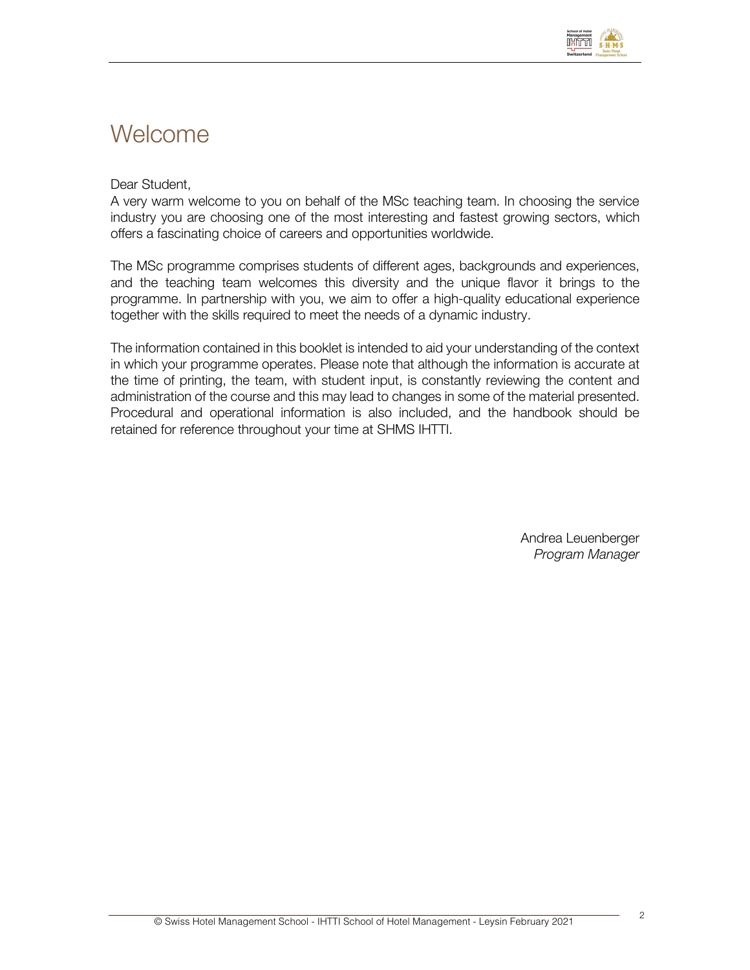

# **Welcome**

### Dear Student,

A very warm welcome to you on behalf of the MSc teaching team. In choosing the service industry you are choosing one of the most interesting and fastest growing sectors, which offers a fascinating choice of careers and opportunities worldwide.

The MSc programme comprises students of different ages, backgrounds and experiences, and the teaching team welcomes this diversity and the unique flavor it brings to the programme. In partnership with you, we aim to offer a high-quality educational experience together with the skills required to meet the needs of a dynamic industry.

The information contained in this booklet is intended to aid your understanding of the context in which your programme operates. Please note that although the information is accurate at the time of printing, the team, with student input, is constantly reviewing the content and administration of the course and this may lead to changes in some of the material presented. Procedural and operational information is also included, and the handbook should be retained for reference throughout your time at SHMS IHTTI.

> Andrea Leuenberger *Program Manager*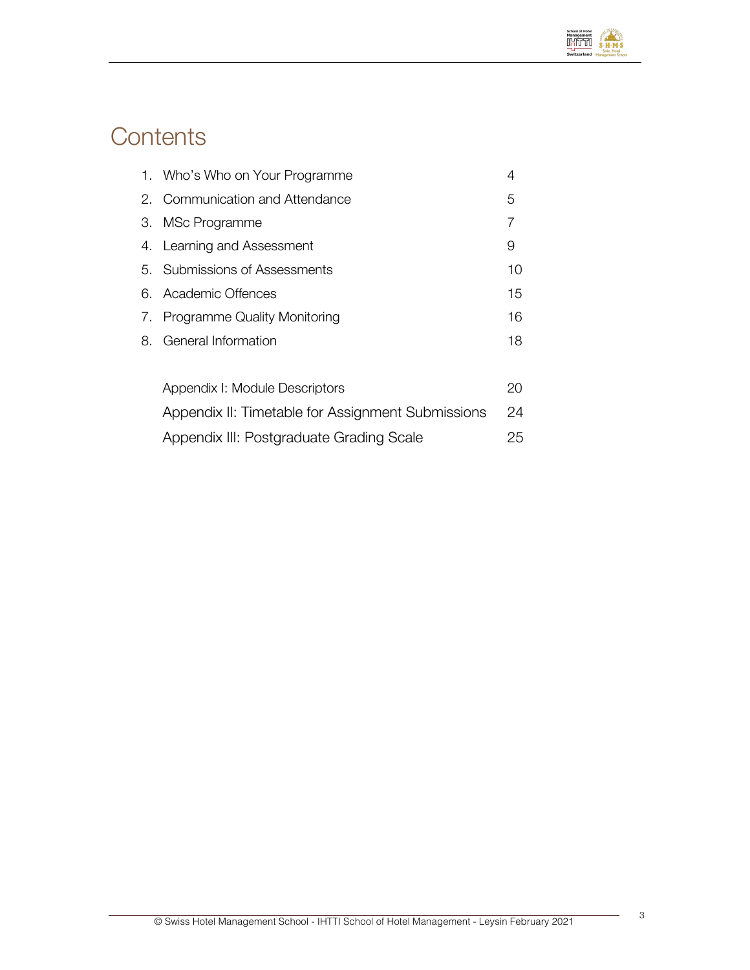

# **Contents**

|    | 1. Who's Who on Your Programme                    | 4  |
|----|---------------------------------------------------|----|
|    | 2. Communication and Attendance                   | 5  |
| З. | MSc Programme                                     | 7  |
|    | 4. Learning and Assessment                        | 9  |
|    | 5. Submissions of Assessments                     | 10 |
|    | 6. Academic Offences                              | 15 |
| 7. | Programme Quality Monitoring                      | 16 |
| 8. | General Information                               | 18 |
|    |                                                   |    |
|    | Appendix I: Module Descriptors                    | 20 |
|    | Appendix II: Timetable for Assignment Submissions | 24 |
|    | Appendix III: Postgraduate Grading Scale          | 25 |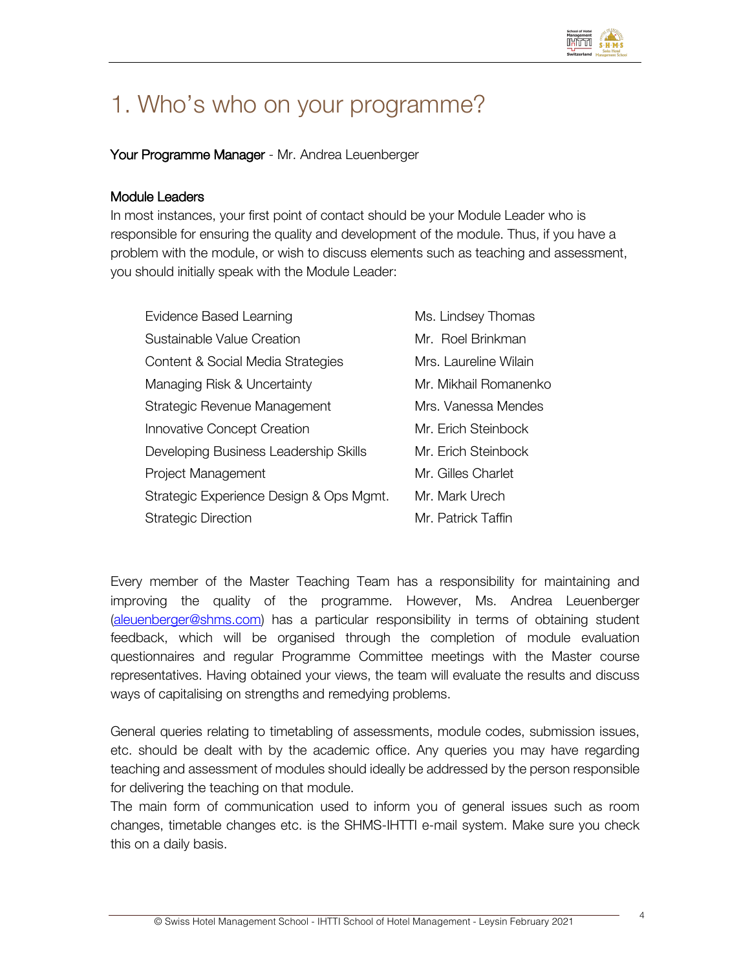

# 1. Who's who on your programme?

### Your Programme Manager - Mr. Andrea Leuenberger

### Module Leaders

In most instances, your first point of contact should be your Module Leader who is responsible for ensuring the quality and development of the module. Thus, if you have a problem with the module, or wish to discuss elements such as teaching and assessment, you should initially speak with the Module Leader:

| Evidence Based Learning                 | Ms. Lindsey Thomas    |
|-----------------------------------------|-----------------------|
| Sustainable Value Creation              | Mr. Roel Brinkman     |
| Content & Social Media Strategies       | Mrs. Laureline Wilain |
| Managing Risk & Uncertainty             | Mr. Mikhail Romanenko |
| Strategic Revenue Management            | Mrs. Vanessa Mendes   |
| Innovative Concept Creation             | Mr. Erich Steinbock   |
| Developing Business Leadership Skills   | Mr. Erich Steinbock   |
| Project Management                      | Mr. Gilles Charlet    |
| Strategic Experience Design & Ops Mgmt. | Mr. Mark Urech        |
| <b>Strategic Direction</b>              | Mr. Patrick Taffin    |

Every member of the Master Teaching Team has a responsibility for maintaining and improving the quality of the programme. However, Ms. Andrea Leuenberger (aleuenberger@shms.com) has a particular responsibility in terms of obtaining student feedback, which will be organised through the completion of module evaluation questionnaires and regular Programme Committee meetings with the Master course representatives. Having obtained your views, the team will evaluate the results and discuss ways of capitalising on strengths and remedying problems.

General queries relating to timetabling of assessments, module codes, submission issues, etc. should be dealt with by the academic office. Any queries you may have regarding teaching and assessment of modules should ideally be addressed by the person responsible for delivering the teaching on that module.

The main form of communication used to inform you of general issues such as room changes, timetable changes etc. is the SHMS-IHTTI e-mail system. Make sure you check this on a daily basis.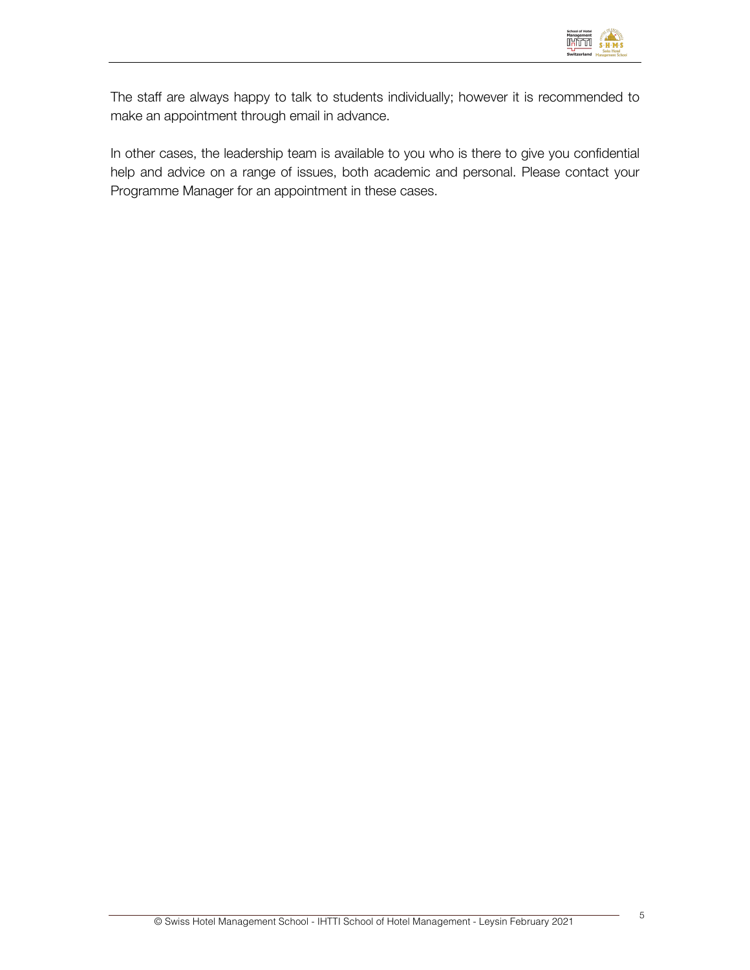

The staff are always happy to talk to students individually; however it is recommended to make an appointment through email in advance.

In other cases, the leadership team is available to you who is there to give you confidential help and advice on a range of issues, both academic and personal. Please contact your Programme Manager for an appointment in these cases.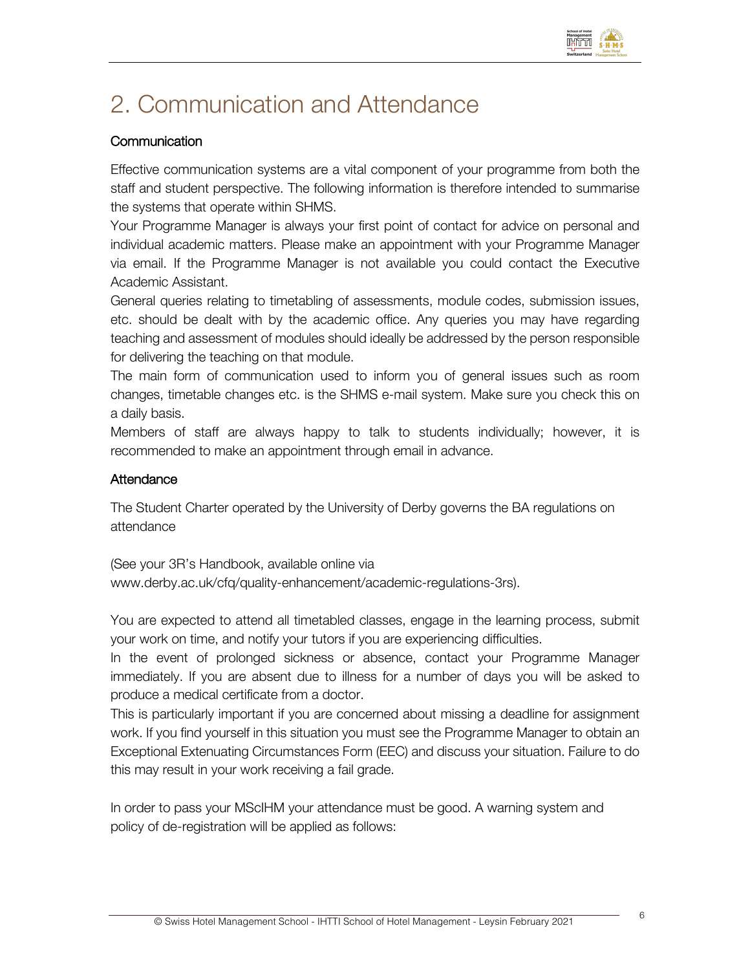

# 2. Communication and Attendance

### **Communication**

Effective communication systems are a vital component of your programme from both the staff and student perspective. The following information is therefore intended to summarise the systems that operate within SHMS.

Your Programme Manager is always your first point of contact for advice on personal and individual academic matters. Please make an appointment with your Programme Manager via email. If the Programme Manager is not available you could contact the Executive Academic Assistant.

General queries relating to timetabling of assessments, module codes, submission issues, etc. should be dealt with by the academic office. Any queries you may have regarding teaching and assessment of modules should ideally be addressed by the person responsible for delivering the teaching on that module.

The main form of communication used to inform you of general issues such as room changes, timetable changes etc. is the SHMS e-mail system. Make sure you check this on a daily basis.

Members of staff are always happy to talk to students individually; however, it is recommended to make an appointment through email in advance.

### **Attendance**

The Student Charter operated by the University of Derby governs the BA regulations on attendance

(See your 3R's Handbook, available online via www.derby.ac.uk/cfq/quality-enhancement/academic-regulations-3rs).

You are expected to attend all timetabled classes, engage in the learning process, submit your work on time, and notify your tutors if you are experiencing difficulties.

In the event of prolonged sickness or absence, contact your Programme Manager immediately. If you are absent due to illness for a number of days you will be asked to produce a medical certificate from a doctor.

This is particularly important if you are concerned about missing a deadline for assignment work. If you find yourself in this situation you must see the Programme Manager to obtain an Exceptional Extenuating Circumstances Form (EEC) and discuss your situation. Failure to do this may result in your work receiving a fail grade.

In order to pass your MScIHM your attendance must be good. A warning system and policy of de-registration will be applied as follows: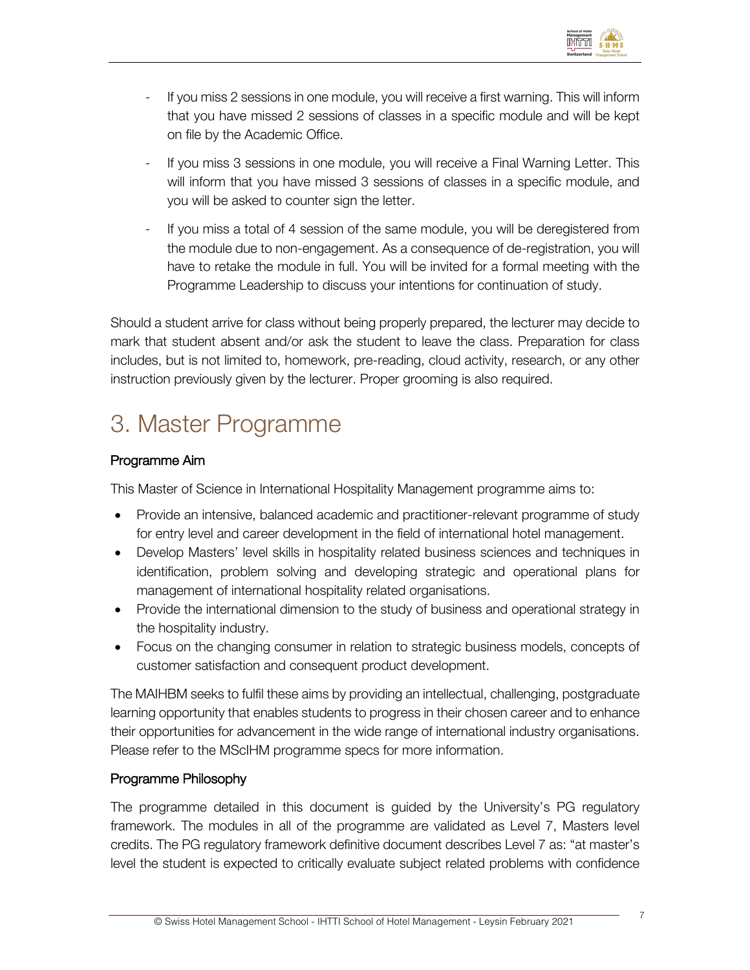

- If you miss 2 sessions in one module, you will receive a first warning. This will inform that you have missed 2 sessions of classes in a specific module and will be kept on file by the Academic Office.
- If you miss 3 sessions in one module, you will receive a Final Warning Letter. This will inform that you have missed 3 sessions of classes in a specific module, and you will be asked to counter sign the letter.
- If you miss a total of 4 session of the same module, you will be deregistered from the module due to non-engagement. As a consequence of de-registration, you will have to retake the module in full. You will be invited for a formal meeting with the Programme Leadership to discuss your intentions for continuation of study.

Should a student arrive for class without being properly prepared, the lecturer may decide to mark that student absent and/or ask the student to leave the class. Preparation for class includes, but is not limited to, homework, pre-reading, cloud activity, research, or any other instruction previously given by the lecturer. Proper grooming is also required.

# 3. Master Programme

## Programme Aim

This Master of Science in International Hospitality Management programme aims to:

- Provide an intensive, balanced academic and practitioner-relevant programme of study for entry level and career development in the field of international hotel management.
- Develop Masters' level skills in hospitality related business sciences and techniques in identification, problem solving and developing strategic and operational plans for management of international hospitality related organisations.
- Provide the international dimension to the study of business and operational strategy in the hospitality industry.
- Focus on the changing consumer in relation to strategic business models, concepts of customer satisfaction and consequent product development.

The MAIHBM seeks to fulfil these aims by providing an intellectual, challenging, postgraduate learning opportunity that enables students to progress in their chosen career and to enhance their opportunities for advancement in the wide range of international industry organisations. Please refer to the MScIHM programme specs for more information.

### Programme Philosophy

The programme detailed in this document is guided by the University's PG regulatory framework. The modules in all of the programme are validated as Level 7, Masters level credits. The PG regulatory framework definitive document describes Level 7 as: "at master's level the student is expected to critically evaluate subject related problems with confidence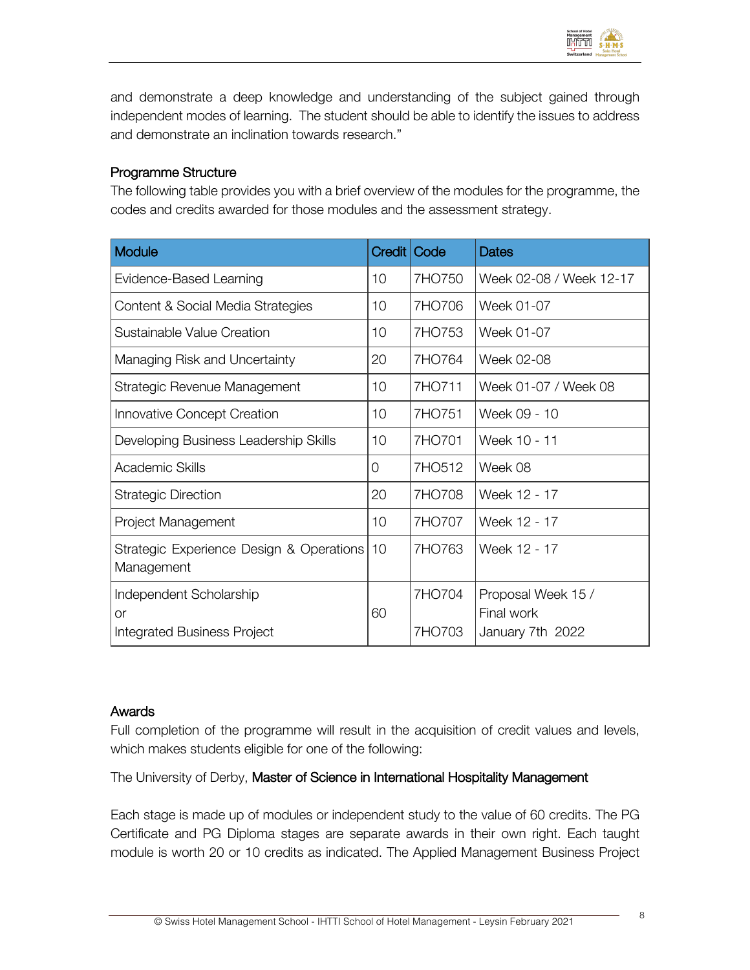

and demonstrate a deep knowledge and understanding of the subject gained through independent modes of learning. The student should be able to identify the issues to address and demonstrate an inclination towards research."

### Programme Structure

The following table provides you with a brief overview of the modules for the programme, the codes and credits awarded for those modules and the assessment strategy.

| <b>Module</b>                                          | Credit   Code |        | <b>Dates</b>                     |
|--------------------------------------------------------|---------------|--------|----------------------------------|
| Evidence-Based Learning                                | 10            | 7HO750 | Week 02-08 / Week 12-17          |
| Content & Social Media Strategies                      | 10            | 7HO706 | Week 01-07                       |
| Sustainable Value Creation                             | 10            | 7HO753 | Week 01-07                       |
| Managing Risk and Uncertainty                          | 20            | 7HO764 | Week 02-08                       |
| Strategic Revenue Management                           | 10            | 7HO711 | Week 01-07 / Week 08             |
| Innovative Concept Creation                            | 10            | 7HO751 | Week 09 - 10                     |
| Developing Business Leadership Skills                  | 10            | 7HO701 | Week 10 - 11                     |
| Academic Skills                                        | 0             | 7HO512 | Week 08                          |
| <b>Strategic Direction</b>                             | 20            | 7HO708 | Week 12 - 17                     |
| Project Management                                     | 10            | 7HO707 | Week 12 - 17                     |
| Strategic Experience Design & Operations<br>Management | 10            | 7HO763 | Week 12 - 17                     |
| Independent Scholarship<br>0r                          | 60            | 7HO704 | Proposal Week 15 /<br>Final work |
| <b>Integrated Business Project</b>                     |               | 7HO703 | January 7th 2022                 |

### Awards

Full completion of the programme will result in the acquisition of credit values and levels, which makes students eligible for one of the following:

The University of Derby, Master of Science in International Hospitality Management

Each stage is made up of modules or independent study to the value of 60 credits. The PG Certificate and PG Diploma stages are separate awards in their own right. Each taught module is worth 20 or 10 credits as indicated. The Applied Management Business Project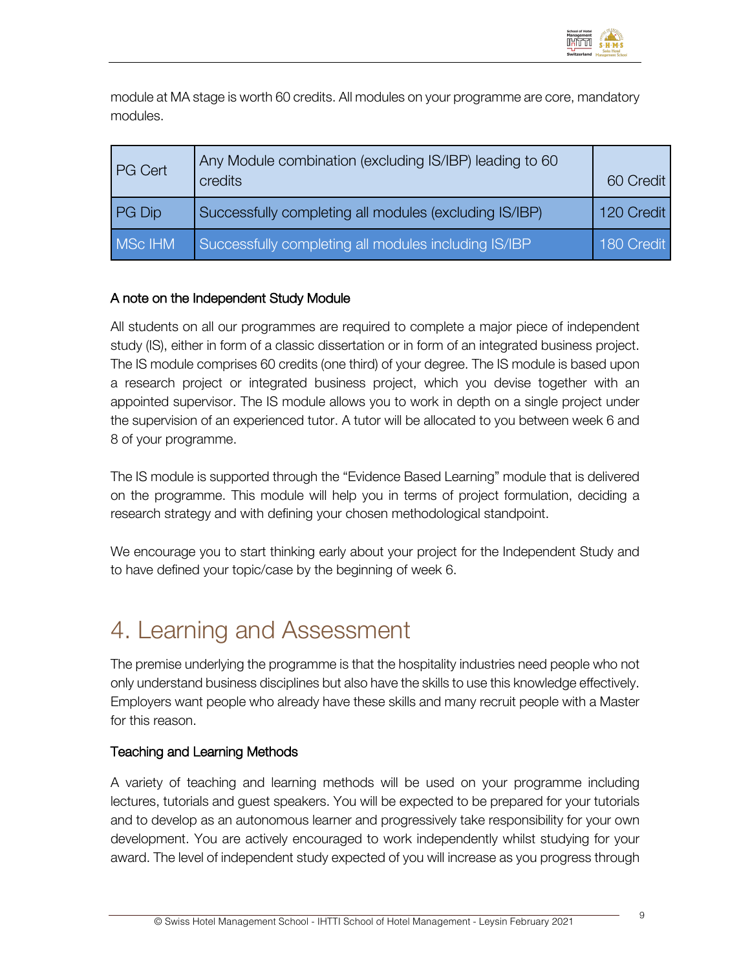

module at MA stage is worth 60 credits. All modules on your programme are core, mandatory modules.

| <b>PG Cert</b> | Any Module combination (excluding IS/IBP) leading to 60<br>credits | 60 Credit  |
|----------------|--------------------------------------------------------------------|------------|
| PG Dip         | Successfully completing all modules (excluding IS/IBP)             | 120 Credit |
| MSc IHM        | Successfully completing all modules including IS/IBP               | 180 Credit |

## A note on the Independent Study Module

All students on all our programmes are required to complete a major piece of independent study (IS), either in form of a classic dissertation or in form of an integrated business project. The IS module comprises 60 credits (one third) of your degree. The IS module is based upon a research project or integrated business project, which you devise together with an appointed supervisor. The IS module allows you to work in depth on a single project under the supervision of an experienced tutor. A tutor will be allocated to you between week 6 and 8 of your programme.

The IS module is supported through the "Evidence Based Learning" module that is delivered on the programme. This module will help you in terms of project formulation, deciding a research strategy and with defining your chosen methodological standpoint.

We encourage you to start thinking early about your project for the Independent Study and to have defined your topic/case by the beginning of week 6.

# 4. Learning and Assessment

The premise underlying the programme is that the hospitality industries need people who not only understand business disciplines but also have the skills to use this knowledge effectively. Employers want people who already have these skills and many recruit people with a Master for this reason.

### Teaching and Learning Methods

A variety of teaching and learning methods will be used on your programme including lectures, tutorials and guest speakers. You will be expected to be prepared for your tutorials and to develop as an autonomous learner and progressively take responsibility for your own development. You are actively encouraged to work independently whilst studying for your award. The level of independent study expected of you will increase as you progress through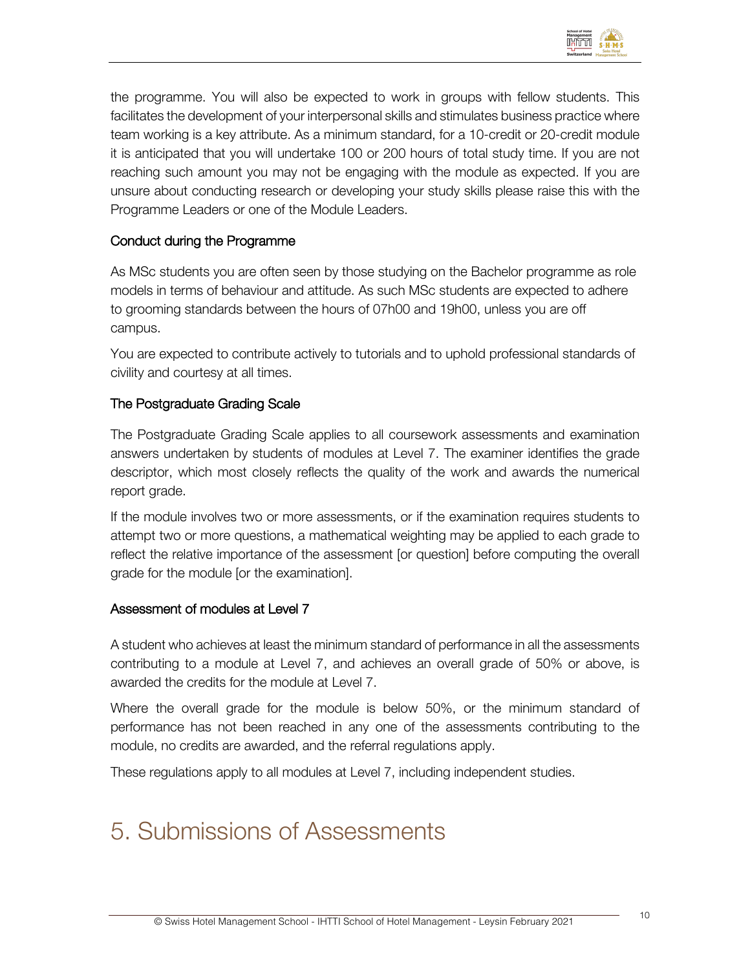

the programme. You will also be expected to work in groups with fellow students. This facilitates the development of your interpersonal skills and stimulates business practice where team working is a key attribute. As a minimum standard, for a 10-credit or 20-credit module it is anticipated that you will undertake 100 or 200 hours of total study time. If you are not reaching such amount you may not be engaging with the module as expected. If you are unsure about conducting research or developing your study skills please raise this with the Programme Leaders or one of the Module Leaders.

## Conduct during the Programme

As MSc students you are often seen by those studying on the Bachelor programme as role models in terms of behaviour and attitude. As such MSc students are expected to adhere to grooming standards between the hours of 07h00 and 19h00, unless you are off campus.

You are expected to contribute actively to tutorials and to uphold professional standards of civility and courtesy at all times.

### The Postgraduate Grading Scale

The Postgraduate Grading Scale applies to all coursework assessments and examination answers undertaken by students of modules at Level 7. The examiner identifies the grade descriptor, which most closely reflects the quality of the work and awards the numerical report grade.

If the module involves two or more assessments, or if the examination requires students to attempt two or more questions, a mathematical weighting may be applied to each grade to reflect the relative importance of the assessment [or question] before computing the overall grade for the module [or the examination].

### Assessment of modules at Level 7

A student who achieves at least the minimum standard of performance in all the assessments contributing to a module at Level 7, and achieves an overall grade of 50% or above, is awarded the credits for the module at Level 7.

Where the overall grade for the module is below 50%, or the minimum standard of performance has not been reached in any one of the assessments contributing to the module, no credits are awarded, and the referral regulations apply.

These regulations apply to all modules at Level 7, including independent studies.

# 5. Submissions of Assessments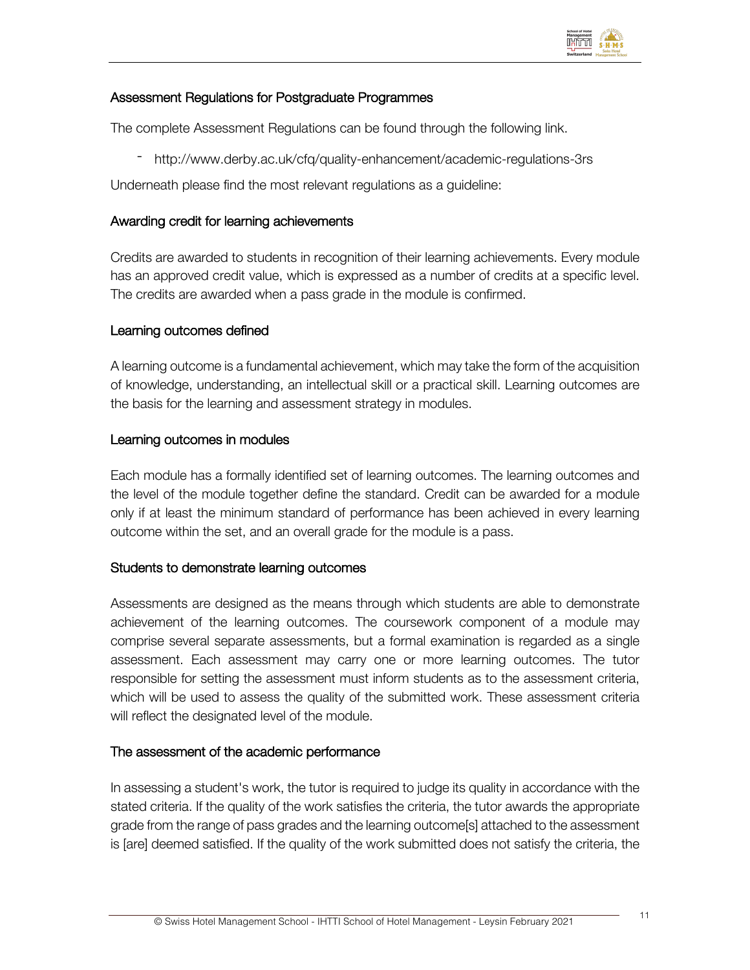

### Assessment Regulations for Postgraduate Programmes

The complete Assessment Regulations can be found through the following link.

- http://www.derby.ac.uk/cfq/quality-enhancement/academic-regulations-3rs

Underneath please find the most relevant regulations as a guideline:

### Awarding credit for learning achievements

Credits are awarded to students in recognition of their learning achievements. Every module has an approved credit value, which is expressed as a number of credits at a specific level. The credits are awarded when a pass grade in the module is confirmed.

### Learning outcomes defined

A learning outcome is a fundamental achievement, which may take the form of the acquisition of knowledge, understanding, an intellectual skill or a practical skill. Learning outcomes are the basis for the learning and assessment strategy in modules.

### Learning outcomes in modules

Each module has a formally identified set of learning outcomes. The learning outcomes and the level of the module together define the standard. Credit can be awarded for a module only if at least the minimum standard of performance has been achieved in every learning outcome within the set, and an overall grade for the module is a pass.

### Students to demonstrate learning outcomes

Assessments are designed as the means through which students are able to demonstrate achievement of the learning outcomes. The coursework component of a module may comprise several separate assessments, but a formal examination is regarded as a single assessment. Each assessment may carry one or more learning outcomes. The tutor responsible for setting the assessment must inform students as to the assessment criteria, which will be used to assess the quality of the submitted work. These assessment criteria will reflect the designated level of the module.

### The assessment of the academic performance

In assessing a student's work, the tutor is required to judge its quality in accordance with the stated criteria. If the quality of the work satisfies the criteria, the tutor awards the appropriate grade from the range of pass grades and the learning outcome[s] attached to the assessment is [are] deemed satisfied. If the quality of the work submitted does not satisfy the criteria, the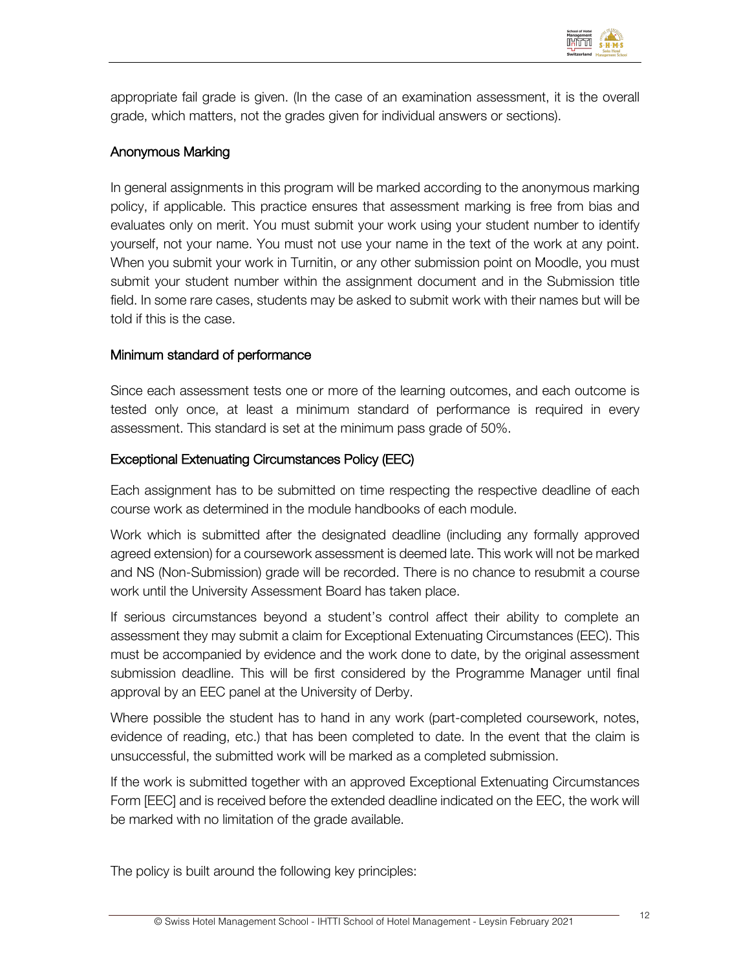

appropriate fail grade is given. (In the case of an examination assessment, it is the overall grade, which matters, not the grades given for individual answers or sections).

### Anonymous Marking

In general assignments in this program will be marked according to the anonymous marking policy, if applicable. This practice ensures that assessment marking is free from bias and evaluates only on merit. You must submit your work using your student number to identify yourself, not your name. You must not use your name in the text of the work at any point. When you submit your work in Turnitin, or any other submission point on Moodle, you must submit your student number within the assignment document and in the Submission title field. In some rare cases, students may be asked to submit work with their names but will be told if this is the case.

### Minimum standard of performance

Since each assessment tests one or more of the learning outcomes, and each outcome is tested only once, at least a minimum standard of performance is required in every assessment. This standard is set at the minimum pass grade of 50%.

### Exceptional Extenuating Circumstances Policy (EEC)

Each assignment has to be submitted on time respecting the respective deadline of each course work as determined in the module handbooks of each module.

Work which is submitted after the designated deadline (including any formally approved agreed extension) for a coursework assessment is deemed late. This work will not be marked and NS (Non-Submission) grade will be recorded. There is no chance to resubmit a course work until the University Assessment Board has taken place.

If serious circumstances beyond a student's control affect their ability to complete an assessment they may submit a claim for Exceptional Extenuating Circumstances (EEC). This must be accompanied by evidence and the work done to date, by the original assessment submission deadline. This will be first considered by the Programme Manager until final approval by an EEC panel at the University of Derby.

Where possible the student has to hand in any work (part-completed coursework, notes, evidence of reading, etc.) that has been completed to date. In the event that the claim is unsuccessful, the submitted work will be marked as a completed submission.

If the work is submitted together with an approved Exceptional Extenuating Circumstances Form [EEC] and is received before the extended deadline indicated on the EEC, the work will be marked with no limitation of the grade available.

The policy is built around the following key principles: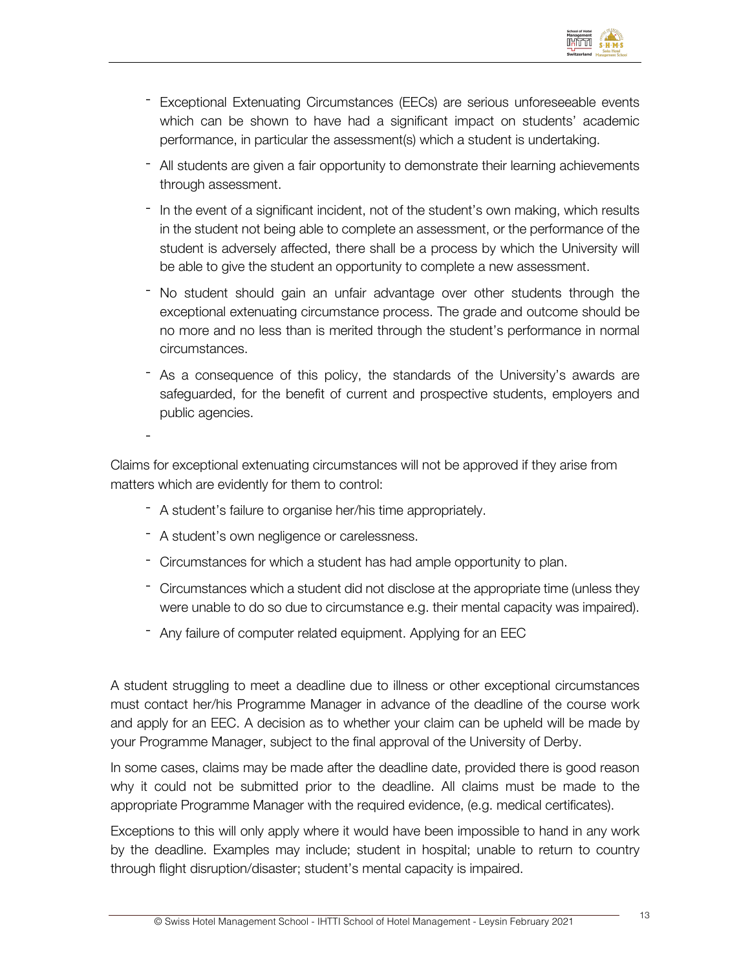

- Exceptional Extenuating Circumstances (EECs) are serious unforeseeable events which can be shown to have had a significant impact on students' academic performance, in particular the assessment(s) which a student is undertaking.
- All students are given a fair opportunity to demonstrate their learning achievements through assessment.
- In the event of a significant incident, not of the student's own making, which results in the student not being able to complete an assessment, or the performance of the student is adversely affected, there shall be a process by which the University will be able to give the student an opportunity to complete a new assessment.
- No student should gain an unfair advantage over other students through the exceptional extenuating circumstance process. The grade and outcome should be no more and no less than is merited through the student's performance in normal circumstances.
- As a consequence of this policy, the standards of the University's awards are safeguarded, for the benefit of current and prospective students, employers and public agencies.

Claims for exceptional extenuating circumstances will not be approved if they arise from matters which are evidently for them to control:

- A student's failure to organise her/his time appropriately.
- A student's own negligence or carelessness.

-

- Circumstances for which a student has had ample opportunity to plan.
- Circumstances which a student did not disclose at the appropriate time (unless they were unable to do so due to circumstance e.g. their mental capacity was impaired).
- Any failure of computer related equipment. Applying for an EEC

A student struggling to meet a deadline due to illness or other exceptional circumstances must contact her/his Programme Manager in advance of the deadline of the course work and apply for an EEC. A decision as to whether your claim can be upheld will be made by your Programme Manager, subject to the final approval of the University of Derby.

In some cases, claims may be made after the deadline date, provided there is good reason why it could not be submitted prior to the deadline. All claims must be made to the appropriate Programme Manager with the required evidence, (e.g. medical certificates).

Exceptions to this will only apply where it would have been impossible to hand in any work by the deadline. Examples may include; student in hospital; unable to return to country through flight disruption/disaster; student's mental capacity is impaired.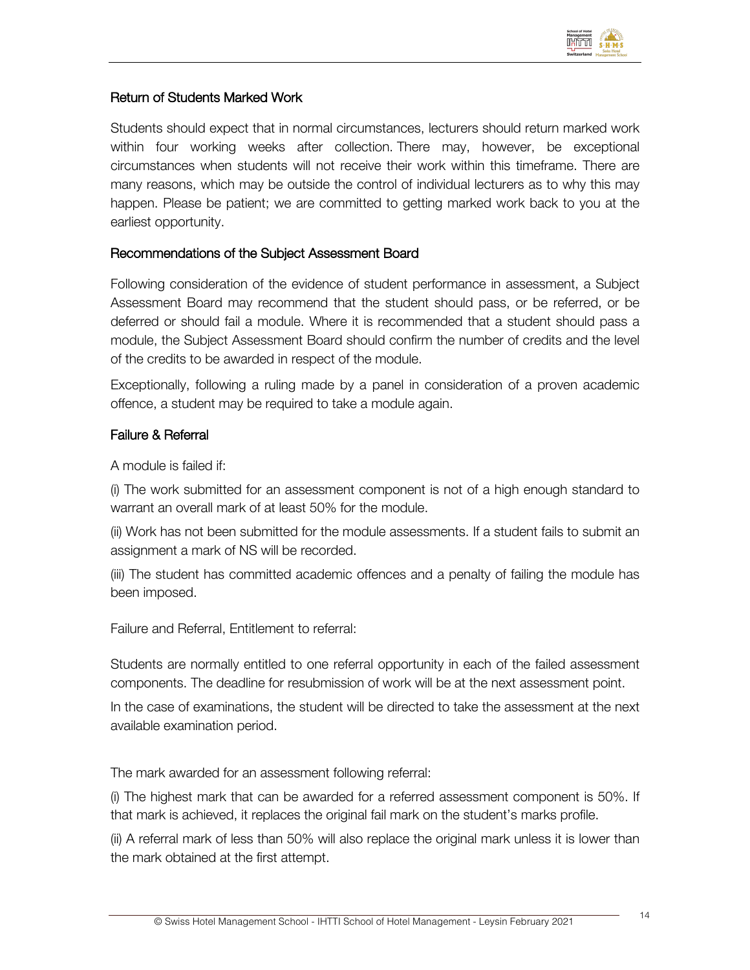

## Return of Students Marked Work

Students should expect that in normal circumstances, lecturers should return marked work within four working weeks after collection. There may, however, be exceptional circumstances when students will not receive their work within this timeframe. There are many reasons, which may be outside the control of individual lecturers as to why this may happen. Please be patient; we are committed to getting marked work back to you at the earliest opportunity.

### Recommendations of the Subject Assessment Board

Following consideration of the evidence of student performance in assessment, a Subject Assessment Board may recommend that the student should pass, or be referred, or be deferred or should fail a module. Where it is recommended that a student should pass a module, the Subject Assessment Board should confirm the number of credits and the level of the credits to be awarded in respect of the module.

Exceptionally, following a ruling made by a panel in consideration of a proven academic offence, a student may be required to take a module again.

### Failure & Referral

A module is failed if:

(i) The work submitted for an assessment component is not of a high enough standard to warrant an overall mark of at least 50% for the module.

(ii) Work has not been submitted for the module assessments. If a student fails to submit an assignment a mark of NS will be recorded.

(iii) The student has committed academic offences and a penalty of failing the module has been imposed.

Failure and Referral, Entitlement to referral:

Students are normally entitled to one referral opportunity in each of the failed assessment components. The deadline for resubmission of work will be at the next assessment point.

In the case of examinations, the student will be directed to take the assessment at the next available examination period.

The mark awarded for an assessment following referral:

(i) The highest mark that can be awarded for a referred assessment component is 50%. If that mark is achieved, it replaces the original fail mark on the student's marks profile.

(ii) A referral mark of less than 50% will also replace the original mark unless it is lower than the mark obtained at the first attempt.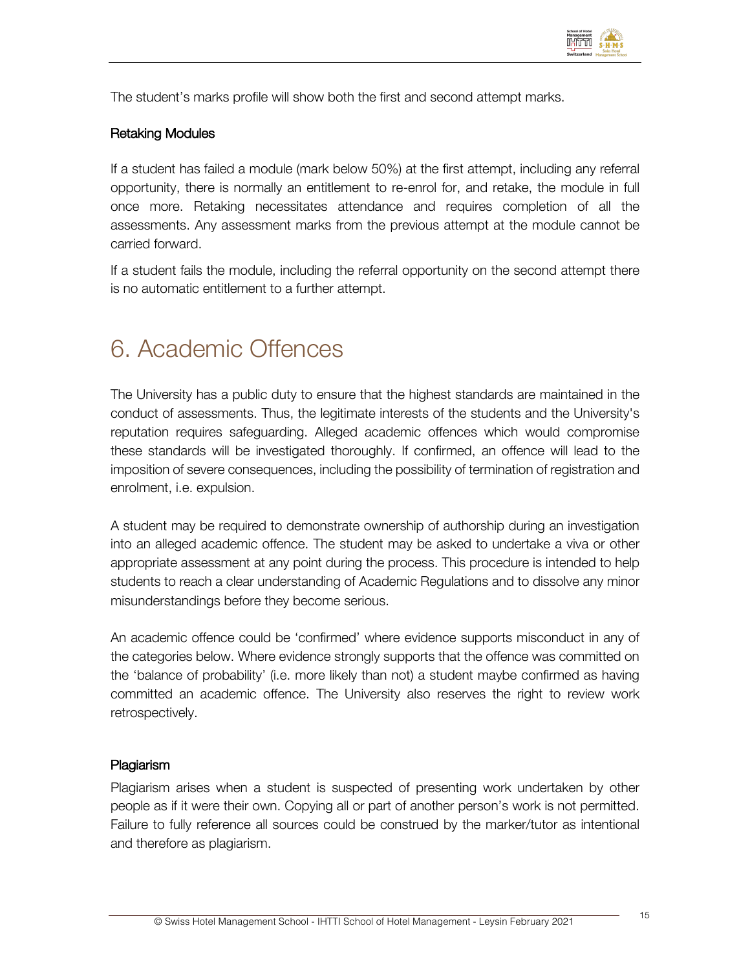

The student's marks profile will show both the first and second attempt marks.

### Retaking Modules

If a student has failed a module (mark below 50%) at the first attempt, including any referral opportunity, there is normally an entitlement to re-enrol for, and retake, the module in full once more. Retaking necessitates attendance and requires completion of all the assessments. Any assessment marks from the previous attempt at the module cannot be carried forward.

If a student fails the module, including the referral opportunity on the second attempt there is no automatic entitlement to a further attempt.

# 6. Academic Offences

The University has a public duty to ensure that the highest standards are maintained in the conduct of assessments. Thus, the legitimate interests of the students and the University's reputation requires safeguarding. Alleged academic offences which would compromise these standards will be investigated thoroughly. If confirmed, an offence will lead to the imposition of severe consequences, including the possibility of termination of registration and enrolment, i.e. expulsion.

A student may be required to demonstrate ownership of authorship during an investigation into an alleged academic offence. The student may be asked to undertake a viva or other appropriate assessment at any point during the process. This procedure is intended to help students to reach a clear understanding of Academic Regulations and to dissolve any minor misunderstandings before they become serious.

An academic offence could be 'confirmed' where evidence supports misconduct in any of the categories below. Where evidence strongly supports that the offence was committed on the 'balance of probability' (i.e. more likely than not) a student maybe confirmed as having committed an academic offence. The University also reserves the right to review work retrospectively.

### Plagiarism

Plagiarism arises when a student is suspected of presenting work undertaken by other people as if it were their own. Copying all or part of another person's work is not permitted. Failure to fully reference all sources could be construed by the marker/tutor as intentional and therefore as plagiarism.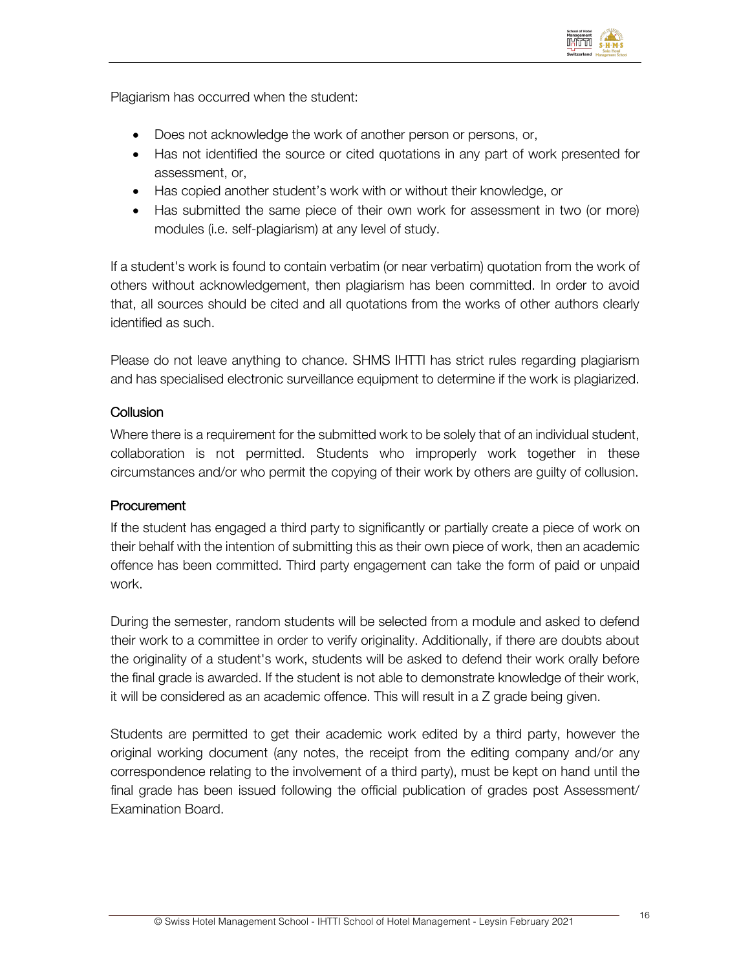

Plagiarism has occurred when the student:

- Does not acknowledge the work of another person or persons, or,
- Has not identified the source or cited quotations in any part of work presented for assessment, or,
- Has copied another student's work with or without their knowledge, or
- Has submitted the same piece of their own work for assessment in two (or more) modules (i.e. self-plagiarism) at any level of study.

If a student's work is found to contain verbatim (or near verbatim) quotation from the work of others without acknowledgement, then plagiarism has been committed. In order to avoid that, all sources should be cited and all quotations from the works of other authors clearly identified as such.

Please do not leave anything to chance. SHMS IHTTI has strict rules regarding plagiarism and has specialised electronic surveillance equipment to determine if the work is plagiarized.

### **Collusion**

Where there is a requirement for the submitted work to be solely that of an individual student, collaboration is not permitted. Students who improperly work together in these circumstances and/or who permit the copying of their work by others are guilty of collusion.

### **Procurement**

If the student has engaged a third party to significantly or partially create a piece of work on their behalf with the intention of submitting this as their own piece of work, then an academic offence has been committed. Third party engagement can take the form of paid or unpaid work.

During the semester, random students will be selected from a module and asked to defend their work to a committee in order to verify originality. Additionally, if there are doubts about the originality of a student's work, students will be asked to defend their work orally before the final grade is awarded. If the student is not able to demonstrate knowledge of their work, it will be considered as an academic offence. This will result in a Z grade being given.

Students are permitted to get their academic work edited by a third party, however the original working document (any notes, the receipt from the editing company and/or any correspondence relating to the involvement of a third party), must be kept on hand until the final grade has been issued following the official publication of grades post Assessment/ Examination Board.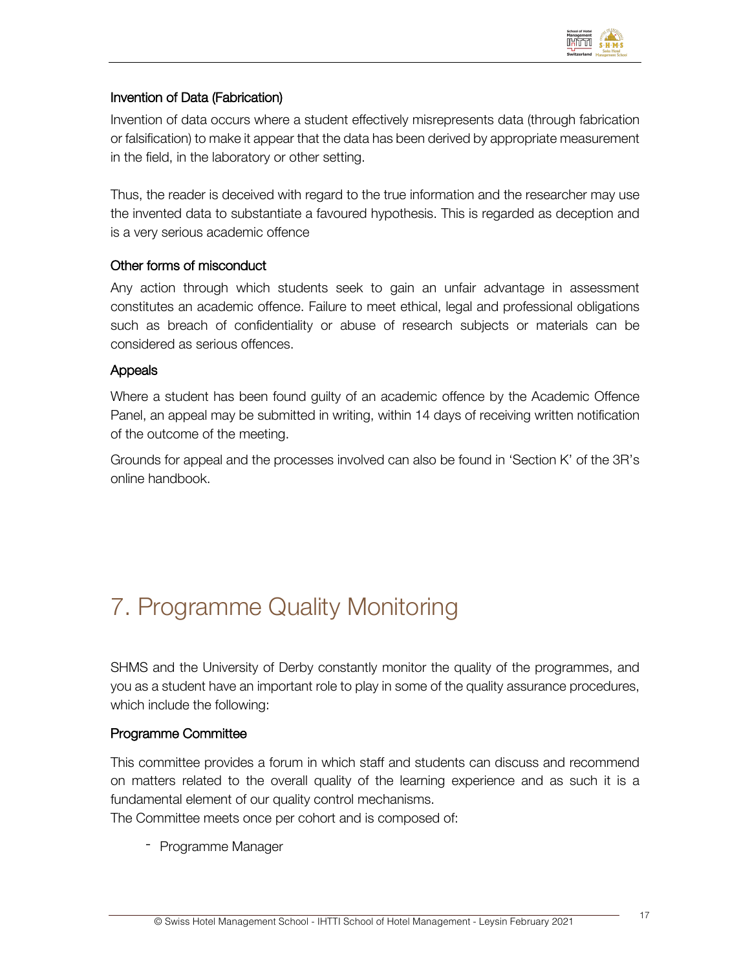

## Invention of Data (Fabrication)

Invention of data occurs where a student effectively misrepresents data (through fabrication or falsification) to make it appear that the data has been derived by appropriate measurement in the field, in the laboratory or other setting.

Thus, the reader is deceived with regard to the true information and the researcher may use the invented data to substantiate a favoured hypothesis. This is regarded as deception and is a very serious academic offence

### Other forms of misconduct

Any action through which students seek to gain an unfair advantage in assessment constitutes an academic offence. Failure to meet ethical, legal and professional obligations such as breach of confidentiality or abuse of research subjects or materials can be considered as serious offences.

### Appeals

Where a student has been found guilty of an academic offence by the Academic Offence Panel, an appeal may be submitted in writing, within 14 days of receiving written notification of the outcome of the meeting.

Grounds for appeal and the processes involved can also be found in 'Section K' of the 3R's online handbook.

# 7. Programme Quality Monitoring

SHMS and the University of Derby constantly monitor the quality of the programmes, and you as a student have an important role to play in some of the quality assurance procedures, which include the following:

### Programme Committee

This committee provides a forum in which staff and students can discuss and recommend on matters related to the overall quality of the learning experience and as such it is a fundamental element of our quality control mechanisms.

The Committee meets once per cohort and is composed of:

- Programme Manager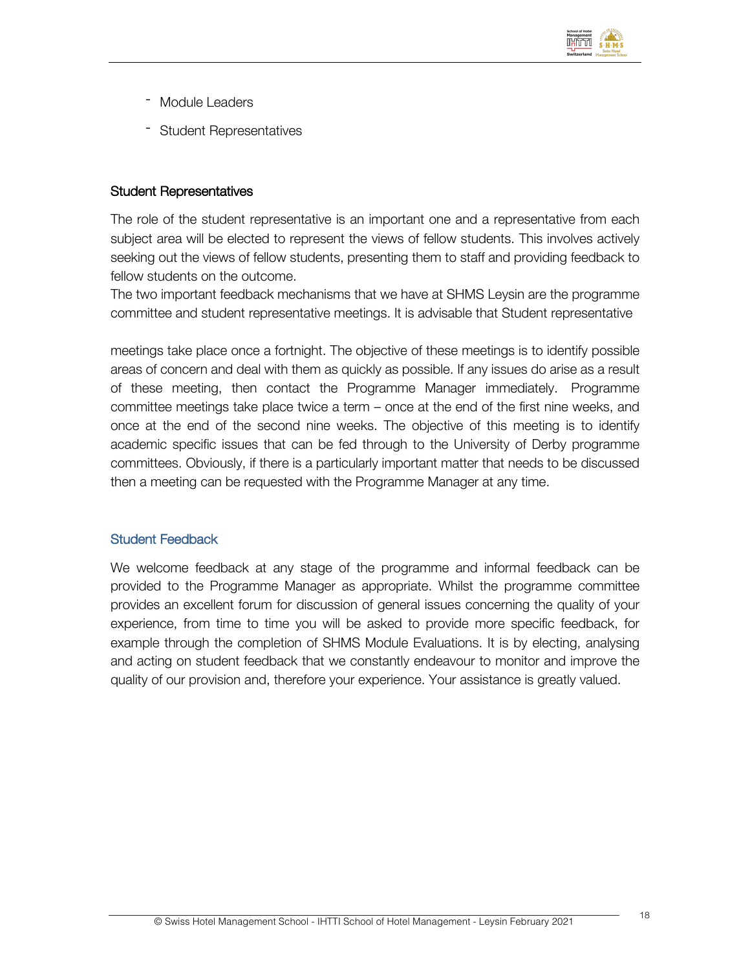

- Module Leaders
- Student Representatives

### Student Representatives

The role of the student representative is an important one and a representative from each subject area will be elected to represent the views of fellow students. This involves actively seeking out the views of fellow students, presenting them to staff and providing feedback to fellow students on the outcome.

The two important feedback mechanisms that we have at SHMS Leysin are the programme committee and student representative meetings. It is advisable that Student representative

meetings take place once a fortnight. The objective of these meetings is to identify possible areas of concern and deal with them as quickly as possible. If any issues do arise as a result of these meeting, then contact the Programme Manager immediately. Programme committee meetings take place twice a term – once at the end of the first nine weeks, and once at the end of the second nine weeks. The objective of this meeting is to identify academic specific issues that can be fed through to the University of Derby programme committees. Obviously, if there is a particularly important matter that needs to be discussed then a meeting can be requested with the Programme Manager at any time.

### Student Feedback

We welcome feedback at any stage of the programme and informal feedback can be provided to the Programme Manager as appropriate. Whilst the programme committee provides an excellent forum for discussion of general issues concerning the quality of your experience, from time to time you will be asked to provide more specific feedback, for example through the completion of SHMS Module Evaluations. It is by electing, analysing and acting on student feedback that we constantly endeavour to monitor and improve the quality of our provision and, therefore your experience. Your assistance is greatly valued.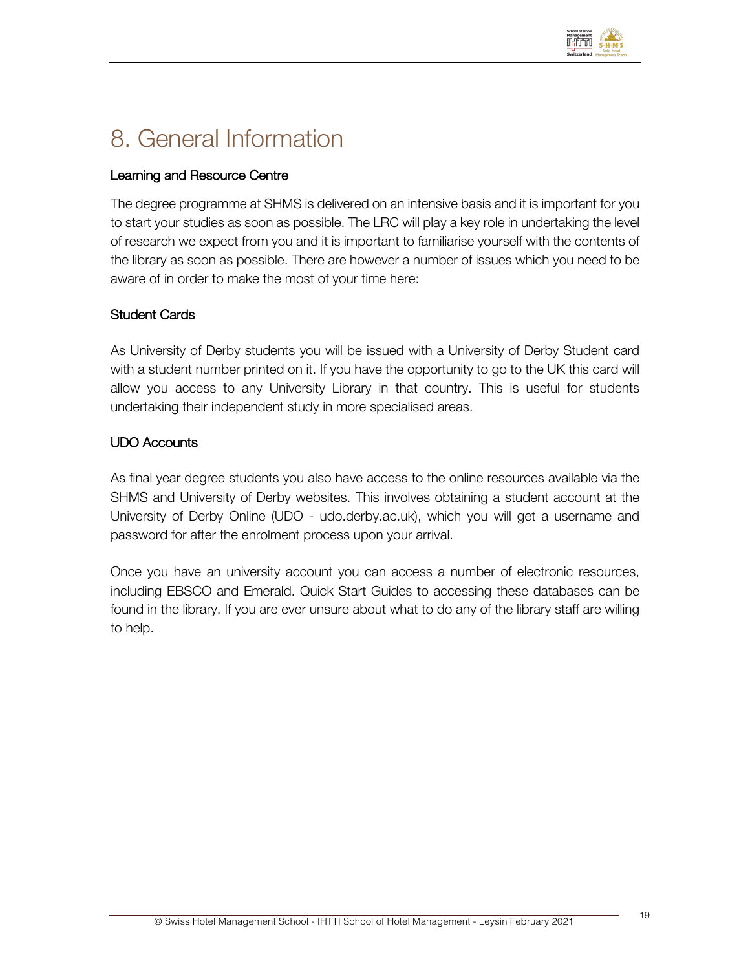

# 8. General Information

## Learning and Resource Centre

The degree programme at SHMS is delivered on an intensive basis and it is important for you to start your studies as soon as possible. The LRC will play a key role in undertaking the level of research we expect from you and it is important to familiarise yourself with the contents of the library as soon as possible. There are however a number of issues which you need to be aware of in order to make the most of your time here:

### Student Cards

As University of Derby students you will be issued with a University of Derby Student card with a student number printed on it. If you have the opportunity to go to the UK this card will allow you access to any University Library in that country. This is useful for students undertaking their independent study in more specialised areas.

## UDO Accounts

As final year degree students you also have access to the online resources available via the SHMS and University of Derby websites. This involves obtaining a student account at the University of Derby Online (UDO - udo.derby.ac.uk), which you will get a username and password for after the enrolment process upon your arrival.

Once you have an university account you can access a number of electronic resources, including EBSCO and Emerald. Quick Start Guides to accessing these databases can be found in the library. If you are ever unsure about what to do any of the library staff are willing to help.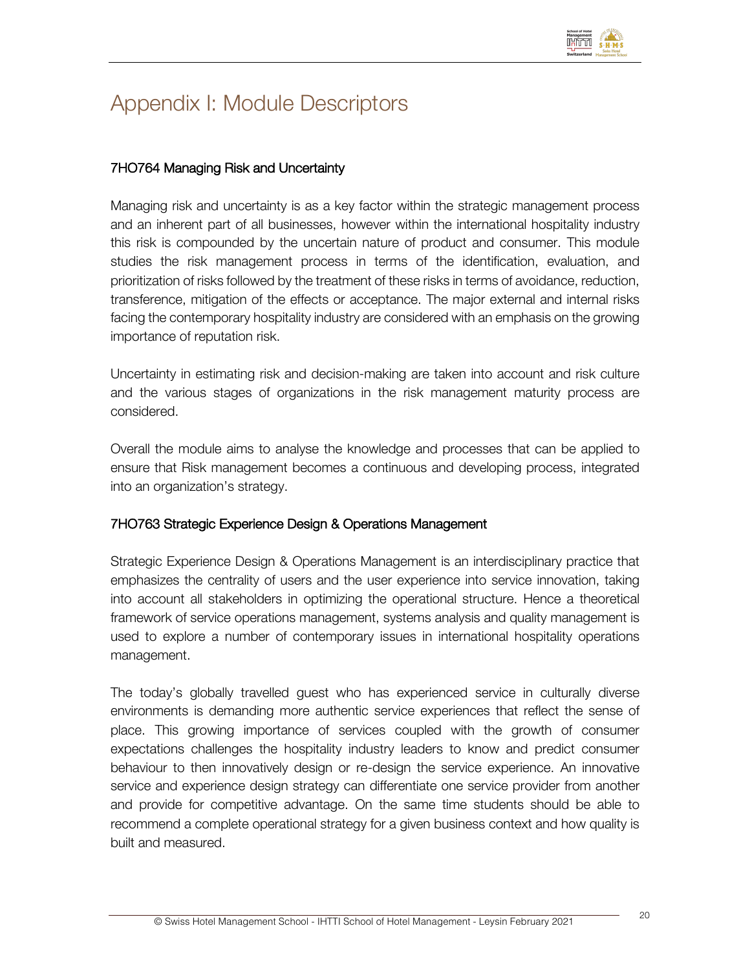

# Appendix I: Module Descriptors

## 7HO764 Managing Risk and Uncertainty

Managing risk and uncertainty is as a key factor within the strategic management process and an inherent part of all businesses, however within the international hospitality industry this risk is compounded by the uncertain nature of product and consumer. This module studies the risk management process in terms of the identification, evaluation, and prioritization of risks followed by the treatment of these risks in terms of avoidance, reduction, transference, mitigation of the effects or acceptance. The major external and internal risks facing the contemporary hospitality industry are considered with an emphasis on the growing importance of reputation risk.

Uncertainty in estimating risk and decision-making are taken into account and risk culture and the various stages of organizations in the risk management maturity process are considered.

Overall the module aims to analyse the knowledge and processes that can be applied to ensure that Risk management becomes a continuous and developing process, integrated into an organization's strategy.

### 7HO763 Strategic Experience Design & Operations Management

Strategic Experience Design & Operations Management is an interdisciplinary practice that emphasizes the centrality of users and the user experience into service innovation, taking into account all stakeholders in optimizing the operational structure. Hence a theoretical framework of service operations management, systems analysis and quality management is used to explore a number of contemporary issues in international hospitality operations management.

The today's globally travelled guest who has experienced service in culturally diverse environments is demanding more authentic service experiences that reflect the sense of place. This growing importance of services coupled with the growth of consumer expectations challenges the hospitality industry leaders to know and predict consumer behaviour to then innovatively design or re-design the service experience. An innovative service and experience design strategy can differentiate one service provider from another and provide for competitive advantage. On the same time students should be able to recommend a complete operational strategy for a given business context and how quality is built and measured.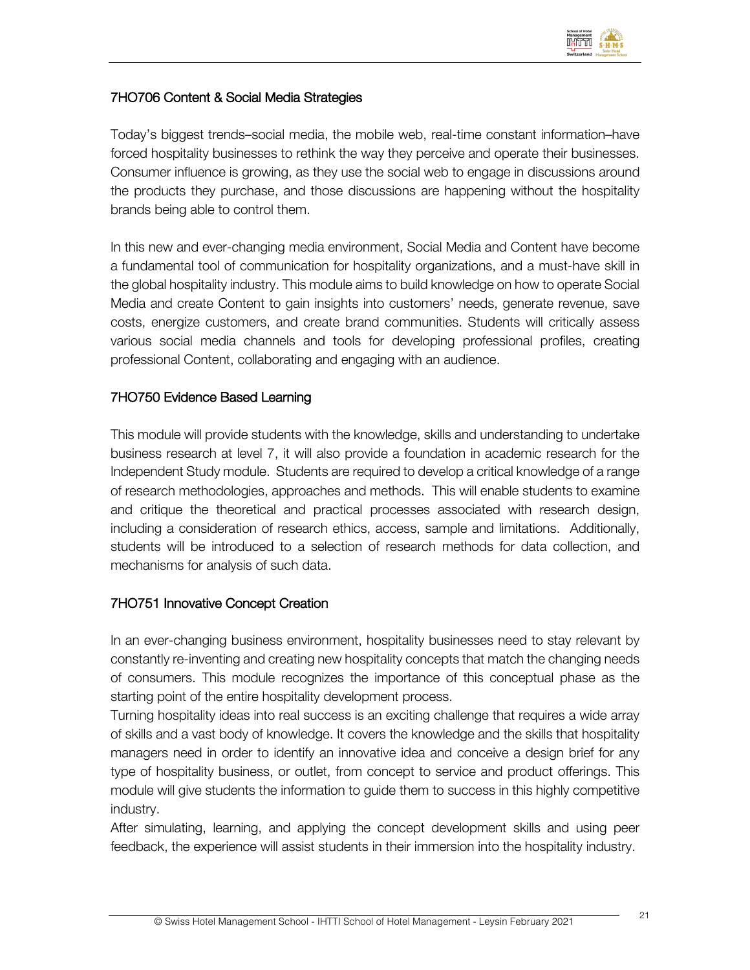

## 7HO706 Content & Social Media Strategies

Today's biggest trends–social media, the mobile web, real-time constant information–have forced hospitality businesses to rethink the way they perceive and operate their businesses. Consumer influence is growing, as they use the social web to engage in discussions around the products they purchase, and those discussions are happening without the hospitality brands being able to control them.

In this new and ever-changing media environment, Social Media and Content have become a fundamental tool of communication for hospitality organizations, and a must-have skill in the global hospitality industry. This module aims to build knowledge on how to operate Social Media and create Content to gain insights into customers' needs, generate revenue, save costs, energize customers, and create brand communities. Students will critically assess various social media channels and tools for developing professional profiles, creating professional Content, collaborating and engaging with an audience.

### 7HO750 Evidence Based Learning

This module will provide students with the knowledge, skills and understanding to undertake business research at level 7, it will also provide a foundation in academic research for the Independent Study module. Students are required to develop a critical knowledge of a range of research methodologies, approaches and methods. This will enable students to examine and critique the theoretical and practical processes associated with research design, including a consideration of research ethics, access, sample and limitations. Additionally, students will be introduced to a selection of research methods for data collection, and mechanisms for analysis of such data.

# 7HO751 Innovative Concept Creation

In an ever-changing business environment, hospitality businesses need to stay relevant by constantly re-inventing and creating new hospitality concepts that match the changing needs of consumers. This module recognizes the importance of this conceptual phase as the starting point of the entire hospitality development process.

Turning hospitality ideas into real success is an exciting challenge that requires a wide array of skills and a vast body of knowledge. It covers the knowledge and the skills that hospitality managers need in order to identify an innovative idea and conceive a design brief for any type of hospitality business, or outlet, from concept to service and product offerings. This module will give students the information to guide them to success in this highly competitive industry.

After simulating, learning, and applying the concept development skills and using peer feedback, the experience will assist students in their immersion into the hospitality industry.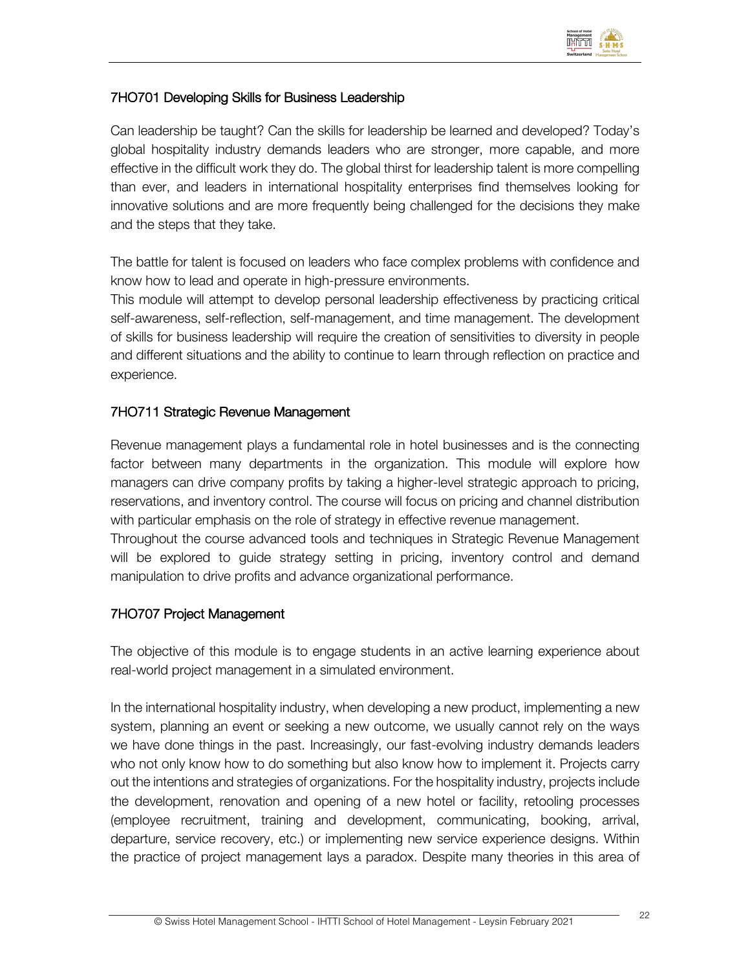

## 7HO701 Developing Skills for Business Leadership

Can leadership be taught? Can the skills for leadership be learned and developed? Today's global hospitality industry demands leaders who are stronger, more capable, and more effective in the difficult work they do. The global thirst for leadership talent is more compelling than ever, and leaders in international hospitality enterprises find themselves looking for innovative solutions and are more frequently being challenged for the decisions they make and the steps that they take.

The battle for talent is focused on leaders who face complex problems with confidence and know how to lead and operate in high-pressure environments.

This module will attempt to develop personal leadership effectiveness by practicing critical self-awareness, self-reflection, self-management, and time management. The development of skills for business leadership will require the creation of sensitivities to diversity in people and different situations and the ability to continue to learn through reflection on practice and experience.

### 7HO711 Strategic Revenue Management

Revenue management plays a fundamental role in hotel businesses and is the connecting factor between many departments in the organization. This module will explore how managers can drive company profits by taking a higher-level strategic approach to pricing, reservations, and inventory control. The course will focus on pricing and channel distribution with particular emphasis on the role of strategy in effective revenue management.

Throughout the course advanced tools and techniques in Strategic Revenue Management will be explored to guide strategy setting in pricing, inventory control and demand manipulation to drive profits and advance organizational performance.

### 7HO707 Project Management

The objective of this module is to engage students in an active learning experience about real-world project management in a simulated environment.

In the international hospitality industry, when developing a new product, implementing a new system, planning an event or seeking a new outcome, we usually cannot rely on the ways we have done things in the past. Increasingly, our fast-evolving industry demands leaders who not only know how to do something but also know how to implement it. Projects carry out the intentions and strategies of organizations. For the hospitality industry, projects include the development, renovation and opening of a new hotel or facility, retooling processes (employee recruitment, training and development, communicating, booking, arrival, departure, service recovery, etc.) or implementing new service experience designs. Within the practice of project management lays a paradox. Despite many theories in this area of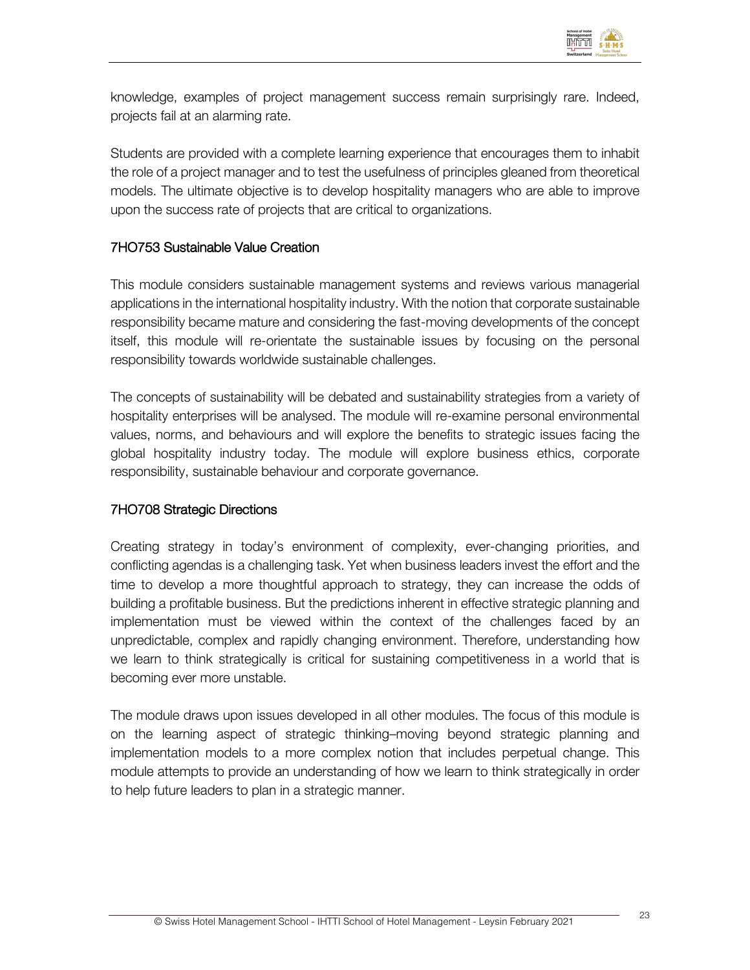

knowledge, examples of project management success remain surprisingly rare. Indeed, projects fail at an alarming rate.

Students are provided with a complete learning experience that encourages them to inhabit the role of a project manager and to test the usefulness of principles gleaned from theoretical models. The ultimate objective is to develop hospitality managers who are able to improve upon the success rate of projects that are critical to organizations.

### 7HO753 Sustainable Value Creation

This module considers sustainable management systems and reviews various managerial applications in the international hospitality industry. With the notion that corporate sustainable responsibility became mature and considering the fast-moving developments of the concept itself, this module will re-orientate the sustainable issues by focusing on the personal responsibility towards worldwide sustainable challenges.

The concepts of sustainability will be debated and sustainability strategies from a variety of hospitality enterprises will be analysed. The module will re-examine personal environmental values, norms, and behaviours and will explore the benefits to strategic issues facing the global hospitality industry today. The module will explore business ethics, corporate responsibility, sustainable behaviour and corporate governance.

### 7HO708 Strategic Directions

Creating strategy in today's environment of complexity, ever-changing priorities, and conflicting agendas is a challenging task. Yet when business leaders invest the effort and the time to develop a more thoughtful approach to strategy, they can increase the odds of building a profitable business. But the predictions inherent in effective strategic planning and implementation must be viewed within the context of the challenges faced by an unpredictable, complex and rapidly changing environment. Therefore, understanding how we learn to think strategically is critical for sustaining competitiveness in a world that is becoming ever more unstable.

The module draws upon issues developed in all other modules. The focus of this module is on the learning aspect of strategic thinking–moving beyond strategic planning and implementation models to a more complex notion that includes perpetual change. This module attempts to provide an understanding of how we learn to think strategically in order to help future leaders to plan in a strategic manner.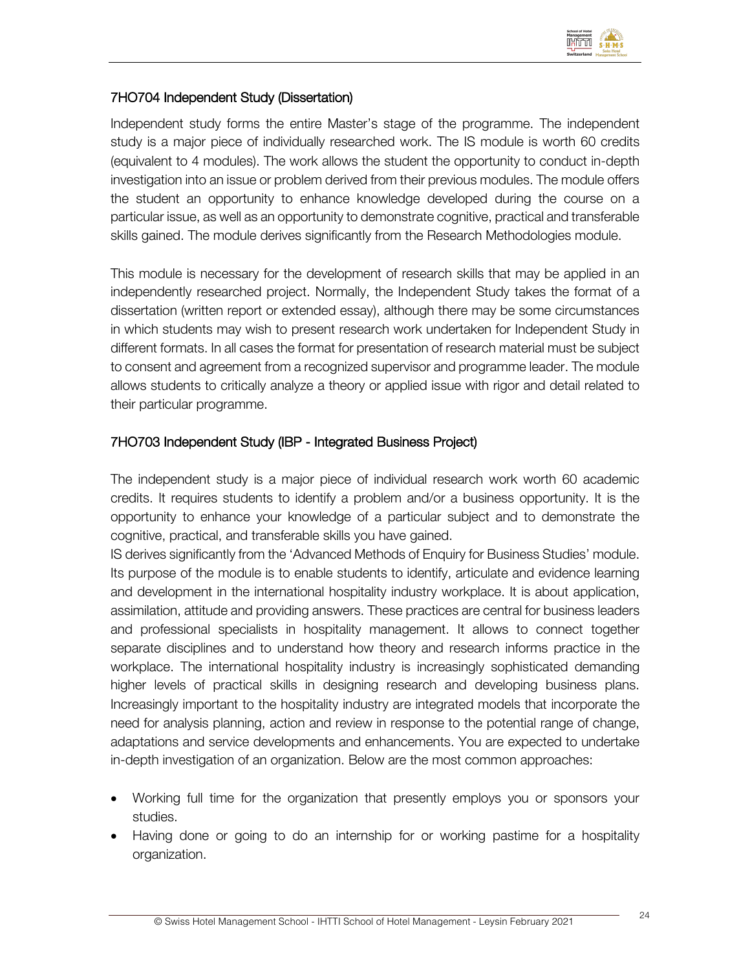

## 7HO704 Independent Study (Dissertation)

Independent study forms the entire Master's stage of the programme. The independent study is a major piece of individually researched work. The IS module is worth 60 credits (equivalent to 4 modules). The work allows the student the opportunity to conduct in-depth investigation into an issue or problem derived from their previous modules. The module offers the student an opportunity to enhance knowledge developed during the course on a particular issue, as well as an opportunity to demonstrate cognitive, practical and transferable skills gained. The module derives significantly from the Research Methodologies module.

This module is necessary for the development of research skills that may be applied in an independently researched project. Normally, the Independent Study takes the format of a dissertation (written report or extended essay), although there may be some circumstances in which students may wish to present research work undertaken for Independent Study in different formats. In all cases the format for presentation of research material must be subject to consent and agreement from a recognized supervisor and programme leader. The module allows students to critically analyze a theory or applied issue with rigor and detail related to their particular programme.

## 7HO703 Independent Study (IBP - Integrated Business Project)

The independent study is a major piece of individual research work worth 60 academic credits. It requires students to identify a problem and/or a business opportunity. It is the opportunity to enhance your knowledge of a particular subject and to demonstrate the cognitive, practical, and transferable skills you have gained.

IS derives significantly from the 'Advanced Methods of Enquiry for Business Studies' module. Its purpose of the module is to enable students to identify, articulate and evidence learning and development in the international hospitality industry workplace. It is about application, assimilation, attitude and providing answers. These practices are central for business leaders and professional specialists in hospitality management. It allows to connect together separate disciplines and to understand how theory and research informs practice in the workplace. The international hospitality industry is increasingly sophisticated demanding higher levels of practical skills in designing research and developing business plans. Increasingly important to the hospitality industry are integrated models that incorporate the need for analysis planning, action and review in response to the potential range of change, adaptations and service developments and enhancements. You are expected to undertake in-depth investigation of an organization. Below are the most common approaches:

- Working full time for the organization that presently employs you or sponsors your studies.
- Having done or going to do an internship for or working pastime for a hospitality organization.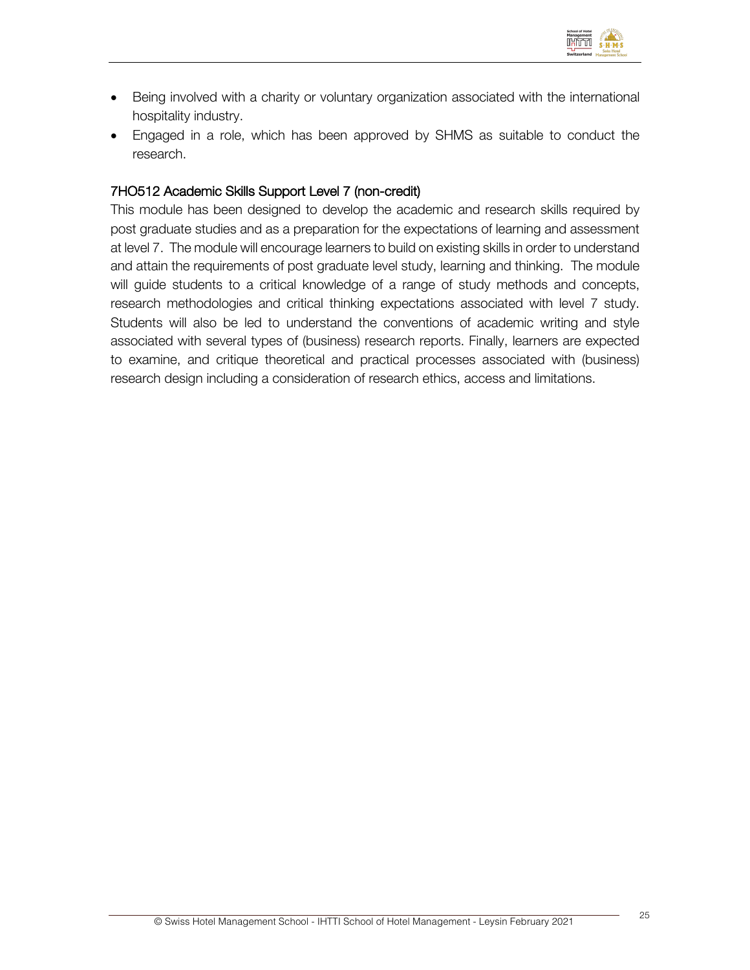

- Being involved with a charity or voluntary organization associated with the international hospitality industry.
- Engaged in a role, which has been approved by SHMS as suitable to conduct the research.

### 7HO512 Academic Skills Support Level 7 (non-credit)

This module has been designed to develop the academic and research skills required by post graduate studies and as a preparation for the expectations of learning and assessment at level 7. The module will encourage learners to build on existing skills in order to understand and attain the requirements of post graduate level study, learning and thinking. The module will guide students to a critical knowledge of a range of study methods and concepts, research methodologies and critical thinking expectations associated with level 7 study. Students will also be led to understand the conventions of academic writing and style associated with several types of (business) research reports. Finally, learners are expected to examine, and critique theoretical and practical processes associated with (business) research design including a consideration of research ethics, access and limitations.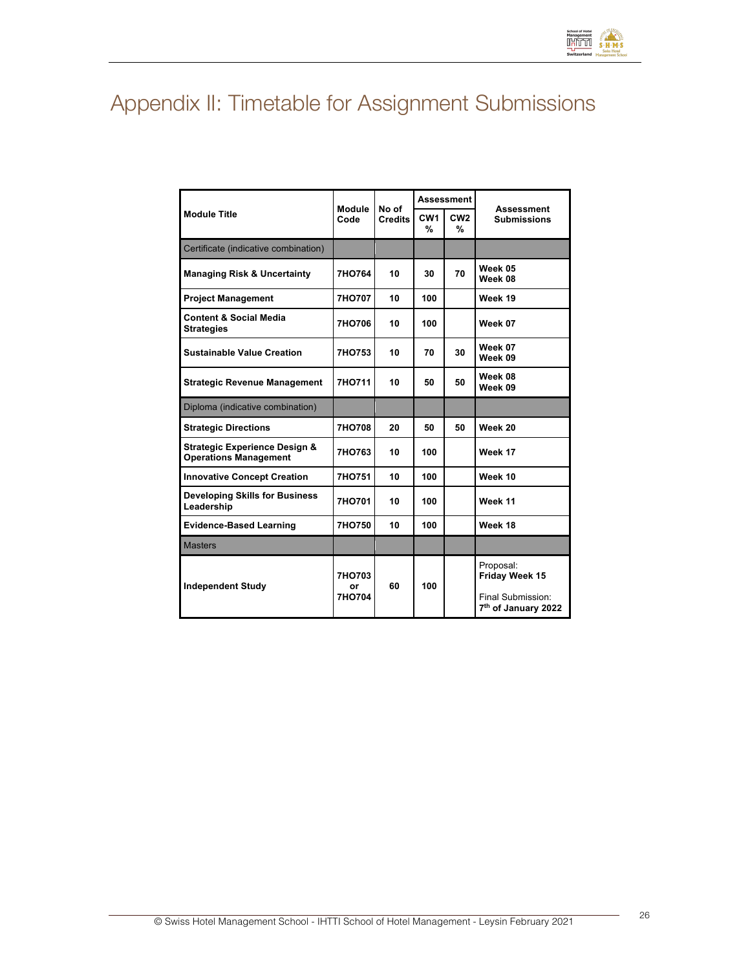# Appendix II: Timetable for Assignment Submissions

|                                                                          |                        |                         | <b>Assessment</b>    |                      |                                                                                     |  |
|--------------------------------------------------------------------------|------------------------|-------------------------|----------------------|----------------------|-------------------------------------------------------------------------------------|--|
| <b>Module Title</b>                                                      | <b>Module</b><br>Code  | No of<br><b>Credits</b> | CW <sub>1</sub><br>% | CW <sub>2</sub><br>% | Assessment<br><b>Submissions</b>                                                    |  |
| Certificate (indicative combination)                                     |                        |                         |                      |                      |                                                                                     |  |
| <b>Managing Risk &amp; Uncertainty</b>                                   | 7HO764                 | 10                      | 30                   | 70                   | Week 05<br>Week 08                                                                  |  |
| <b>Project Management</b>                                                | 7HO707                 | 10                      | 100                  |                      | Week 19                                                                             |  |
| <b>Content &amp; Social Media</b><br><b>Strategies</b>                   | 7HO706                 | 10                      | 100                  |                      | Week 07                                                                             |  |
| <b>Sustainable Value Creation</b>                                        | 7HO753                 | 10                      | 70                   | 30                   | Week 07<br>Week 09                                                                  |  |
| <b>Strategic Revenue Management</b>                                      | 7HO711                 | 10                      | 50                   | 50                   | Week 08<br>Week 09                                                                  |  |
| Diploma (indicative combination)                                         |                        |                         |                      |                      |                                                                                     |  |
| <b>Strategic Directions</b>                                              | 7HO708                 | 20                      | 50                   | 50                   | Week 20                                                                             |  |
| <b>Strategic Experience Design &amp;</b><br><b>Operations Management</b> | 7HO763                 | 10                      | 100                  |                      | Week 17                                                                             |  |
| <b>Innovative Concept Creation</b>                                       | 7HO751                 | 10                      | 100                  |                      | Week 10                                                                             |  |
| <b>Developing Skills for Business</b><br>Leadership                      | 7HO701                 | 10                      | 100                  |                      | Week 11                                                                             |  |
| <b>Evidence-Based Learning</b>                                           | 7HO750                 | 10                      | 100                  |                      | Week 18                                                                             |  |
| <b>Masters</b>                                                           |                        |                         |                      |                      |                                                                                     |  |
| <b>Independent Study</b>                                                 | 7HO703<br>Ωr<br>7HO704 | 60                      | 100                  |                      | Proposal:<br>Friday Week 15<br>Final Submission:<br>7 <sup>th</sup> of January 2022 |  |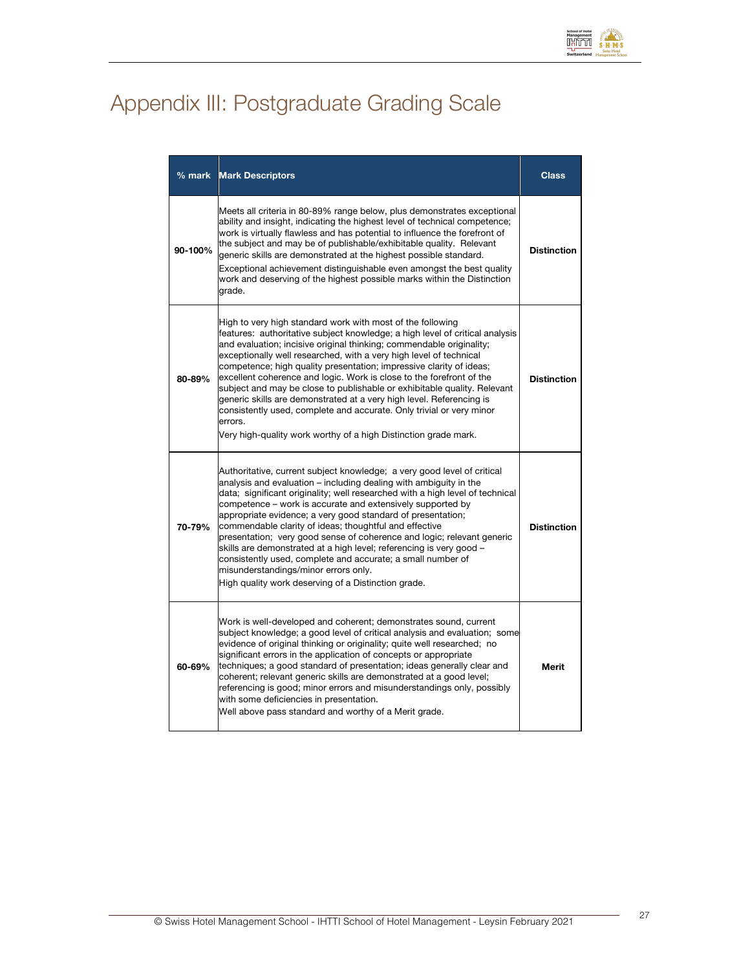

# Appendix III: Postgraduate Grading Scale

| $%$ mark | <b>Mark Descriptors</b>                                                                                                                                                                                                                                                                                                                                                                                                                                                                                                                                                                                                                                                                                                                           | <b>Class</b>       |  |  |  |
|----------|---------------------------------------------------------------------------------------------------------------------------------------------------------------------------------------------------------------------------------------------------------------------------------------------------------------------------------------------------------------------------------------------------------------------------------------------------------------------------------------------------------------------------------------------------------------------------------------------------------------------------------------------------------------------------------------------------------------------------------------------------|--------------------|--|--|--|
| 90-100%  | Meets all criteria in 80-89% range below, plus demonstrates exceptional<br>ability and insight, indicating the highest level of technical competence;<br>work is virtually flawless and has potential to influence the forefront of<br>the subject and may be of publishable/exhibitable quality. Relevant<br>generic skills are demonstrated at the highest possible standard.<br>Exceptional achievement distinguishable even amongst the best quality<br>work and deserving of the highest possible marks within the Distinction<br>grade.                                                                                                                                                                                                     |                    |  |  |  |
| 80-89%   | High to very high standard work with most of the following<br>features: authoritative subject knowledge; a high level of critical analysis<br>and evaluation; incisive original thinking; commendable originality;<br>exceptionally well researched, with a very high level of technical<br>competence; high quality presentation; impressive clarity of ideas;<br>excellent coherence and logic. Work is close to the forefront of the<br>subject and may be close to publishable or exhibitable quality. Relevant<br>generic skills are demonstrated at a very high level. Referencing is<br>consistently used, complete and accurate. Only trivial or very minor<br>errors.<br>Very high-quality work worthy of a high Distinction grade mark. | <b>Distinction</b> |  |  |  |
| 70-79%   | Authoritative, current subject knowledge; a very good level of critical<br>analysis and evaluation – including dealing with ambiguity in the<br>data; significant originality; well researched with a high level of technical<br>competence – work is accurate and extensively supported by<br>appropriate evidence; a very good standard of presentation;<br>commendable clarity of ideas; thoughtful and effective<br>presentation; very good sense of coherence and logic; relevant generic<br>skills are demonstrated at a high level; referencing is very good -<br>consistently used, complete and accurate; a small number of<br>misunderstandings/minor errors only.<br>High quality work deserving of a Distinction grade.               | <b>Distinction</b> |  |  |  |
| 60-69%   | Work is well-developed and coherent; demonstrates sound, current<br>subject knowledge; a good level of critical analysis and evaluation; some<br>evidence of original thinking or originality; quite well researched; no<br>significant errors in the application of concepts or appropriate<br>techniques; a good standard of presentation; ideas generally clear and<br>coherent; relevant generic skills are demonstrated at a good level;<br>referencing is good; minor errors and misunderstandings only, possibly<br>with some deficiencies in presentation.<br>Well above pass standard and worthy of a Merit grade.                                                                                                                       | Merit              |  |  |  |